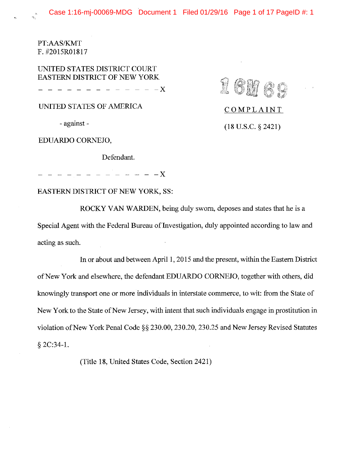Case 1:16-mj-00069-MDG Document 1 Filed 01/29/16 Page 1 of 17 PageID #: 1

16M69

COMPLAINT

 $(18$  U.S.C. § 2421)

PT:AAS/KMT F. #2015R01817

UNITED STATES DISTRICT COURT EASTERN DISTRICT OF NEW YORK

 $-$  X

UNITED STATES OF AMERICA

- against -

EDUARDO CORNEJO,

Defendant.

 $- - - - X$ 

**EASTERN DISTRICT OF NEW YORK, SS:** 

ROCKY VAN WARDEN, being duly sworn, deposes and states that he is a Special Agent with the Federal Bureau of Investigation, duly appointed according to law and acting as such.

In or about and between April 1, 2015 and the present, within the Eastern District of New York and elsewhere, the defendant EDUARDO CORNEJO, together with others, did knowingly transport one or more individuals in interstate commerce, to wit: from the State of New York to the State of New Jersey, with intent that such individuals engage in prostitution in violation of New York Penal Code §§ 230.00, 230.20, 230.25 and New Jersey Revised Statutes  $$2C:34-1.$ 

(Title 18, United States Code, Section 2421)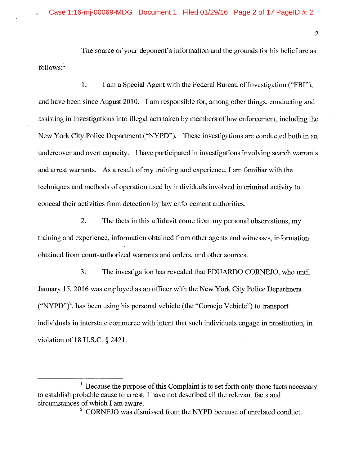The source of your deponent's information and the grounds for his belief are as  $follows:<sup>1</sup>$ 

1. I am a Special Agent with the Federal Bureau of Investigation ("FBI"). and have been since August 2010. I am responsible for, among other things, conducting and assisting in investigations into illegal acts taken by members of law enforcement, including the New York City Police Department ("NYPD"). These investigations are conducted both in an undercover and overt capacity. I have participated in investigations involving search warrants and arrest warrants. As a result of my training and experience, I am familiar with the techniques and methods of operation used by individuals involved in criminal activity to conceal their activities from detection by law enforcement authorities.

 $\overline{2}$ . The facts in this affidavit come from my personal observations, my training and experience, information obtained from other agents and witnesses, information obtained from court-authorized warrants and orders, and other sources.

 $3.$ The investigation has revealed that EDUARDO CORNEJO, who until January 15, 2016 was employed as an officer with the New York City Police Department ("NYPD")<sup>2</sup>, has been using his personal vehicle (the "Cornejo Vehicle") to transport individuals in interstate commerce with intent that such individuals engage in prostitution, in violation of 18 U.S.C. § 2421.

 $\frac{1}{1}$  Because the purpose of this Complaint is to set forth only those facts necessary to establish probable cause to arrest, I have not described all the relevant facts and circumstances of which I am aware.

<sup>&</sup>lt;sup>2</sup> CORNEJO was dismissed from the NYPD because of unrelated conduct.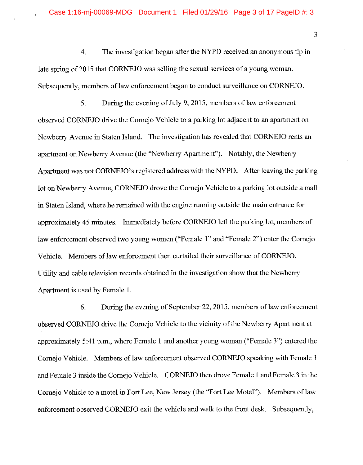$\overline{3}$ 

 $\overline{4}$ . The investigation began after the NYPD received an anonymous tip in late spring of 2015 that CORNEJO was selling the sexual services of a young woman. Subsequently, members of law enforcement began to conduct surveillance on CORNEJO.

 $5.$ During the evening of July 9, 2015, members of law enforcement observed CORNEJO drive the Cornejo Vehicle to a parking lot adjacent to an apartment on Newberry Avenue in Staten Island. The investigation has revealed that CORNEJO rents an apartment on Newberry Avenue (the "Newberry Apartment"). Notably, the Newberry Apartment was not CORNEJO's registered address with the NYPD. After leaving the parking lot on Newberry Avenue, CORNEJO drove the Cornejo Vehicle to a parking lot outside a mall in Staten Island, where he remained with the engine running outside the main entrance for approximately 45 minutes. Immediately before CORNEJO left the parking lot, members of law enforcement observed two young women ("Female 1" and "Female 2") enter the Cornejo Vehicle. Members of law enforcement then curtailed their surveillance of CORNEJO. Utility and cable television records obtained in the investigation show that the Newberry Apartment is used by Female 1.

During the evening of September 22, 2015, members of law enforcement 6. observed CORNEJO drive the Cornejo Vehicle to the vicinity of the Newberry Apartment at approximately 5:41 p.m., where Female 1 and another young woman ("Female 3") entered the Corneio Vehicle. Members of law enforcement observed CORNEJO speaking with Female 1 and Female 3 inside the Cornejo Vehicle. CORNEJO then drove Female 1 and Female 3 in the Cornejo Vehicle to a motel in Fort Lee, New Jersey (the "Fort Lee Motel"). Members of law enforcement observed CORNEJO exit the vehicle and walk to the front desk. Subsequently,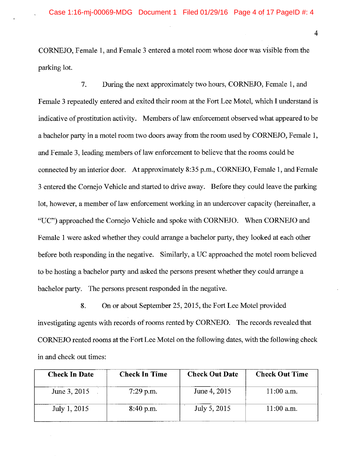$\overline{4}$ 

CORNEJO, Female 1, and Female 3 entered a motel room whose door was visible from the parking lot.

7. During the next approximately two hours, CORNEJO, Female 1, and Female 3 repeatedly entered and exited their room at the Fort Lee Motel, which I understand is indicative of prostitution activity. Members of law enforcement observed what appeared to be a bachelor party in a motel room two doors away from the room used by CORNEJO, Female 1, and Female 3, leading members of law enforcement to believe that the rooms could be connected by an interior door. At approximately 8:35 p.m., CORNEJO, Female 1, and Female 3 entered the Corneio Vehicle and started to drive away. Before they could leave the parking lot, however, a member of law enforcement working in an undercover capacity (hereinafter, a "UC") approached the Cornejo Vehicle and spoke with CORNEJO. When CORNEJO and Female 1 were asked whether they could arrange a bachelor party, they looked at each other before both responding in the negative. Similarly, a UC approached the motel room believed to be hosting a bachelor party and asked the persons present whether they could arrange a bachelor party. The persons present responded in the negative.

8. On or about September 25, 2015, the Fort Lee Motel provided investigating agents with records of rooms rented by CORNEJO. The records revealed that CORNEJO rented rooms at the Fort Lee Motel on the following dates, with the following check in and check out times:

| <b>Check In Time</b> | <b>Check Out Date</b> | <b>Check Out Time</b> |
|----------------------|-----------------------|-----------------------|
| $7:29$ p.m.          | June 4, 2015          | $11:00$ a.m.          |
| 8:40 p.m.            | July 5, 2015          | $11:00$ a.m.          |
|                      |                       |                       |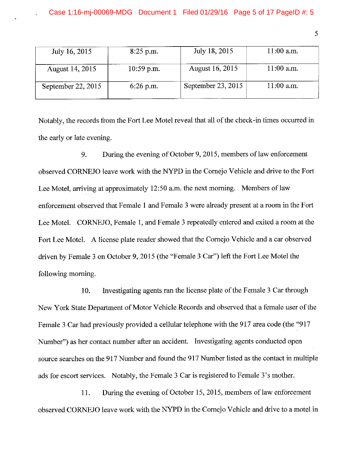| July 16, 2015        | $8:25$ p.m.          | July 18, 2015      | $11:00$ a.m. |
|----------------------|----------------------|--------------------|--------------|
| August 14, 2015      | $10:59 \text{ p.m.}$ | August 16, 2015    | $11:00$ a.m. |
| September 22, $2015$ | $6:26$ p.m.          | September 23, 2015 | $11:00$ a.m. |

Notably, the records from the Fort Lee Motel reveal that all of the check-in times occurred in the early or late evening.

During the evening of October 9, 2015, members of law enforcement 9. observed CORNEJO leave work with the NYPD in the Cornejo Vehicle and drive to the Fort Lee Motel, arriving at approximately 12:50 a.m. the next morning. Members of law enforcement observed that Female 1 and Female 3 were already present at a room in the Fort Lee Motel. CORNEJO, Female 1, and Female 3 repeatedly entered and exited a room at the Fort Lee Motel. A license plate reader showed that the Cornejo Vehicle and a car observed driven by Female 3 on October 9, 2015 (the "Female 3 Car") left the Fort Lee Motel the following morning.

10. Investigating agents ran the license plate of the Female 3 Car through New York State Department of Motor Vehicle Records and observed that a female user of the Female 3 Car had previously provided a cellular telephone with the 917 area code (the "917 Number") as her contact number after an accident. Investigating agents conducted open source searches on the 917 Number and found the 917 Number listed as the contact in multiple ads for escort services. Notably, the Female 3 Car is registered to Female 3's mother.

During the evening of October 15, 2015, members of law enforcement 11. observed CORNEJO leave work with the NYPD in the Cornejo Vehicle and drive to a motel in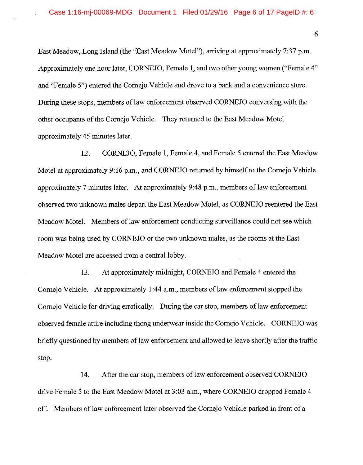East Meadow, Long Island (the "East Meadow Motel"), arriving at approximately 7:37 p.m. Approximately one hour later, CORNEJO, Female 1, and two other young women ("Female 4" and "Female 5") entered the Corneio Vehicle and drove to a bank and a convenience store. During these stops, members of law enforcement observed CORNEJO conversing with the other occupants of the Cornejo Vehicle. They returned to the East Meadow Motel approximately 45 minutes later.

12. CORNEJO, Female 1, Female 4, and Female 5 entered the East Meadow Motel at approximately 9:16 p.m., and CORNEJO returned by himself to the Cornejo Vehicle approximately 7 minutes later. At approximately 9:48 p.m., members of law enforcement observed two unknown males depart the East Meadow Motel, as CORNEJO reentered the East Meadow Motel. Members of law enforcement conducting surveillance could not see which room was being used by CORNEJO or the two unknown males, as the rooms at the East Meadow Motel are accessed from a central lobby.

At approximately midnight, CORNEJO and Female 4 entered the 13. Cornejo Vehicle. At approximately 1:44 a.m., members of law enforcement stopped the Cornejo Vehicle for driving erratically. During the car stop, members of law enforcement observed female attire including thong underwear inside the Cornejo Vehicle. CORNEJO was briefly questioned by members of law enforcement and allowed to leave shortly after the traffic stop.

14. After the car stop, members of law enforcement observed CORNEJO drive Female 5 to the East Meadow Motel at 3:03 a.m., where CORNEJO dropped Female 4 off. Members of law enforcement later observed the Cornejo Vehicle parked in front of a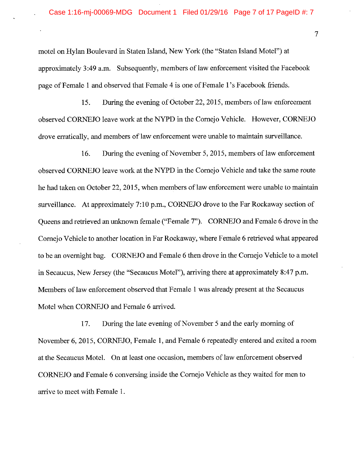motel on Hylan Boulevard in Staten Island, New York (the "Staten Island Motel") at approximately 3:49 a.m. Subsequently, members of law enforcement visited the Facebook page of Female 1 and observed that Female 4 is one of Female 1's Facebook friends.

15. During the evening of October 22, 2015, members of law enforcement observed CORNEJO leave work at the NYPD in the Cornejo Vehicle. However, CORNEJO drove erratically, and members of law enforcement were unable to maintain surveillance.

16. During the evening of November 5, 2015, members of law enforcement observed CORNEJO leave work at the NYPD in the Cornejo Vehicle and take the same route he had taken on October 22, 2015, when members of law enforcement were unable to maintain surveillance. At approximately 7:10 p.m., CORNEJO drove to the Far Rockaway section of Queens and retrieved an unknown female ("Female 7"). CORNEJO and Female 6 drove in the Cornejo Vehicle to another location in Far Rockaway, where Female 6 retrieved what appeared to be an overnight bag. CORNEJO and Female 6 then drove in the Cornejo Vehicle to a motel in Secaucus, New Jersey (the "Secaucus Motel"), arriving there at approximately 8:47 p.m. Members of law enforcement observed that Female 1 was already present at the Secaucus Motel when CORNEJO and Female 6 arrived.

During the late evening of November 5 and the early morning of 17. November 6, 2015, CORNEJO, Female 1, and Female 6 repeatedly entered and exited a room at the Secaucus Motel. On at least one occasion, members of law enforcement observed CORNEJO and Female 6 conversing inside the Cornejo Vehicle as they waited for men to arrive to meet with Female 1.

 $\overline{7}$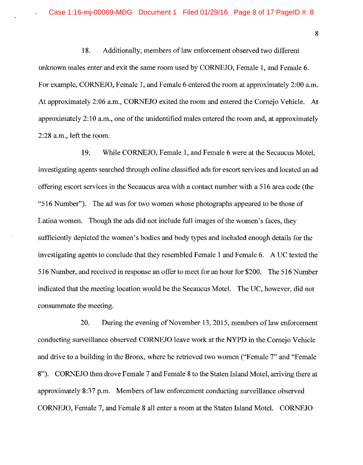8

18. Additionally, members of law enforcement observed two different unknown males enter and exit the same room used by CORNEJO, Female 1, and Female 6. For example, CORNEJO, Female 1, and Female 6 entered the room at approximately 2:00 a.m. At approximately 2:06 a.m., CORNEJO exited the room and entered the Cornejo Vehicle. At approximately 2:10 a.m., one of the unidentified males entered the room and, at approximately 2:28 a.m., left the room.

19. While CORNEJO, Female 1, and Female 6 were at the Secaucus Motel, investigating agents searched through online classified ads for escort services and located an ad offering escort services in the Secaucus area with a contact number with a 516 area code (the "516 Number"). The ad was for two women whose photographs appeared to be those of Latina women. Though the ads did not include full images of the women's faces, they sufficiently depicted the women's bodies and body types and included enough details for the investigating agents to conclude that they resembled Female 1 and Female 6. A UC texted the 516 Number, and received in response an offer to meet for an hour for \$200. The 516 Number indicated that the meeting location would be the Secaucus Motel. The UC, however, did not consummate the meeting.

20. During the evening of November 13, 2015, members of law enforcement conducting surveillance observed CORNEJO leave work at the NYPD in the Cornejo Vehicle and drive to a building in the Bronx, where he retrieved two women ("Female 7" and "Female 8"). CORNEJO then drove Female 7 and Female 8 to the Staten Island Motel, arriving there at approximately 8:37 p.m. Members of law enforcement conducting surveillance observed CORNEJO, Female 7, and Female 8 all enter a room at the Staten Island Motel. CORNEJO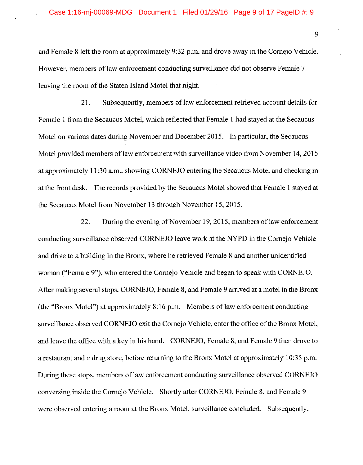and Female 8 left the room at approximately 9:32 p.m. and drove away in the Cornejo Vehicle. However, members of law enforcement conducting surveillance did not observe Female 7 leaving the room of the Staten Island Motel that night.

21. Subsequently, members of law enforcement retrieved account details for Female 1 from the Secaucus Motel, which reflected that Female 1 had stayed at the Secaucus Motel on various dates during November and December 2015. In particular, the Secaucus Motel provided members of law enforcement with surveillance video from November 14, 2015 at approximately 11:30 a.m., showing CORNEJO entering the Secaucus Motel and checking in at the front desk. The records provided by the Secaucus Motel showed that Female 1 stayed at the Secaucus Motel from November 13 through November 15, 2015.

During the evening of November 19, 2015, members of law enforcement 22. conducting surveillance observed CORNEJO leave work at the NYPD in the Cornejo Vehicle and drive to a building in the Bronx, where he retrieved Female 8 and another unidentified woman ("Female 9"), who entered the Cornejo Vehicle and began to speak with CORNEJO. After making several stops, CORNEJO, Female 8, and Female 9 arrived at a motel in the Bronx (the "Bronx Motel") at approximately 8:16 p.m. Members of law enforcement conducting surveillance observed CORNEJO exit the Cornejo Vehicle, enter the office of the Bronx Motel, and leave the office with a key in his hand. CORNEJO, Female 8, and Female 9 then drove to a restaurant and a drug store, before returning to the Bronx Motel at approximately 10:35 p.m. During these stops, members of law enforcement conducting surveillance observed CORNEJO conversing inside the Cornejo Vehicle. Shortly after CORNEJO, Female 8, and Female 9 were observed entering a room at the Bronx Motel, surveillance concluded. Subsequently,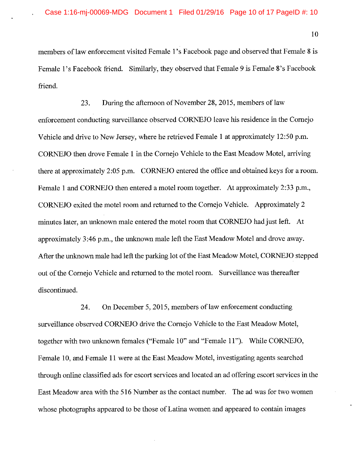members of law enforcement visited Female 1's Facebook page and observed that Female 8 is Female 1's Facebook friend. Similarly, they observed that Female 9 is Female 8's Facebook friend.

During the afternoon of November 28, 2015, members of law 23. enforcement conducting surveillance observed CORNEJO leave his residence in the Cornejo Vehicle and drive to New Jersey, where he retrieved Female 1 at approximately 12:50 p.m. CORNEJO then drove Female 1 in the Cornejo Vehicle to the East Meadow Motel, arriving there at approximately 2:05 p.m. CORNEJO entered the office and obtained keys for a room. Female 1 and CORNEJO then entered a motel room together. At approximately 2:33 p.m., CORNEJO exited the motel room and returned to the Cornejo Vehicle. Approximately 2 minutes later, an unknown male entered the motel room that CORNEJO had just left. At approximately 3:46 p.m., the unknown male left the East Meadow Motel and drove away. After the unknown male had left the parking lot of the East Meadow Motel, CORNEJO stepped out of the Cornejo Vehicle and returned to the motel room. Surveillance was thereafter discontinued.

On December 5, 2015, members of law enforcement conducting 24. surveillance observed CORNEJO drive the Cornejo Vehicle to the East Meadow Motel, together with two unknown females ("Female 10" and "Female 11"). While CORNEJO, Female 10, and Female 11 were at the East Meadow Motel, investigating agents searched through online classified ads for escort services and located an ad offering escort services in the East Meadow area with the 516 Number as the contact number. The ad was for two women whose photographs appeared to be those of Latina women and appeared to contain images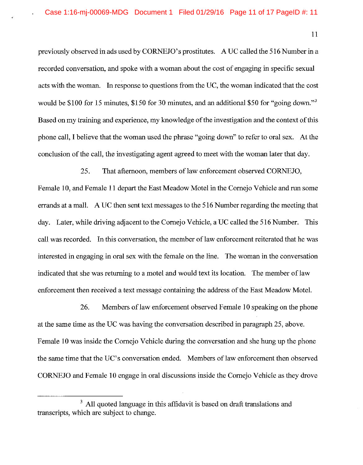$11$ 

previously observed in ads used by CORNEJO's prostitutes. A UC called the 516 Number in a recorded conversation, and spoke with a woman about the cost of engaging in specific sexual acts with the woman. In response to questions from the UC, the woman indicated that the cost would be \$100 for 15 minutes, \$150 for 30 minutes, and an additional \$50 for "going down." Based on my training and experience, my knowledge of the investigation and the context of this phone call, I believe that the woman used the phrase "going down" to refer to oral sex. At the conclusion of the call, the investigating agent agreed to meet with the woman later that day.

25. That afternoon, members of law enforcement observed CORNEJO, Female 10, and Female 11 depart the East Meadow Motel in the Cornejo Vehicle and run some errands at a mall. A UC then sent text messages to the 516 Number regarding the meeting that day. Later, while driving adjacent to the Cornejo Vehicle, a UC called the 516 Number. This call was recorded. In this conversation, the member of law enforcement reiterated that he was interested in engaging in oral sex with the female on the line. The woman in the conversation indicated that she was returning to a motel and would text its location. The member of law enforcement then received a text message containing the address of the East Meadow Motel.

26. Members of law enforcement observed Female 10 speaking on the phone at the same time as the UC was having the conversation described in paragraph 25, above. Female 10 was inside the Cornejo Vehicle during the conversation and she hung up the phone the same time that the UC's conversation ended. Members of law enforcement then observed CORNEJO and Female 10 engage in oral discussions inside the Cornejo Vehicle as they drove

<sup>&</sup>lt;sup>3</sup> All quoted language in this affidavit is based on draft translations and transcripts, which are subject to change.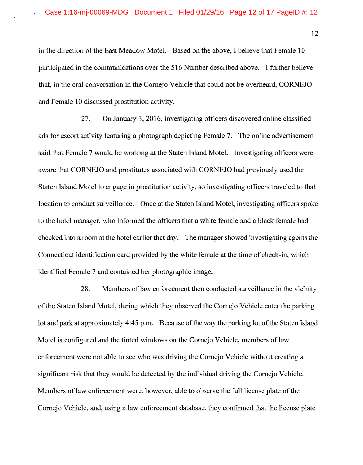in the direction of the East Meadow Motel. Based on the above, I believe that Female 10 participated in the communications over the 516 Number described above. I further believe that, in the oral conversation in the Cornejo Vehicle that could not be overheard, CORNEJO and Female 10 discussed prostitution activity.

27. On January 3, 2016, investigating officers discovered online classified ads for escort activity featuring a photograph depicting Female 7. The online advertisement said that Female 7 would be working at the Staten Island Motel. Investigating officers were aware that CORNEJO and prostitutes associated with CORNEJO had previously used the Staten Island Motel to engage in prostitution activity, so investigating officers traveled to that location to conduct surveillance. Once at the Staten Island Motel, investigating officers spoke to the hotel manager, who informed the officers that a white female and a black female had checked into a room at the hotel earlier that day. The manager showed investigating agents the Connecticut identification card provided by the white female at the time of check-in, which identified Female 7 and contained her photographic image.

28. Members of law enforcement then conducted surveillance in the vicinity of the Staten Island Motel, during which they observed the Cornejo Vehicle enter the parking lot and park at approximately 4:45 p.m. Because of the way the parking lot of the Staten Island Motel is configured and the tinted windows on the Cornejo Vehicle, members of law enforcement were not able to see who was driving the Cornejo Vehicle without creating a significant risk that they would be detected by the individual driving the Cornejo Vehicle. Members of law enforcement were, however, able to observe the full license plate of the Cornejo Vehicle, and, using a law enforcement database, they confirmed that the license plate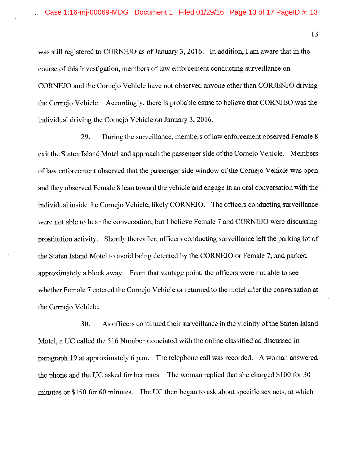was still registered to CORNEJO as of January 3, 2016. In addition, I am aware that in the course of this investigation, members of law enforcement conducting surveillance on CORNEJO and the Cornejo Vehicle have not observed anyone other than CORJENJO driving the Cornejo Vehicle. Accordingly, there is probable cause to believe that CORNJEO was the individual driving the Cornejo Vehicle on January 3, 2016.

During the surveillance, members of law enforcement observed Female 8 29. exit the Staten Island Motel and approach the passenger side of the Cornejo Vehicle. Members of law enforcement observed that the passenger side window of the Cornejo Vehicle was open and they observed Female 8 lean toward the vehicle and engage in an oral conversation with the individual inside the Cornejo Vehicle, likely CORNEJO. The officers conducting surveillance were not able to hear the conversation, but I believe Female 7 and CORNEJO were discussing prostitution activity. Shortly thereafter, officers conducting surveillance left the parking lot of the Staten Island Motel to avoid being detected by the CORNEJO or Female 7, and parked approximately a block away. From that vantage point, the officers were not able to see whether Female 7 entered the Cornejo Vehicle or returned to the motel after the conversation at the Cornejo Vehicle.

As officers continued their surveillance in the vicinity of the Staten Island 30. Motel, a UC called the 516 Number associated with the online classified ad discussed in paragraph 19 at approximately 6 p.m. The telephone call was recorded. A woman answered the phone and the UC asked for her rates. The woman replied that she charged \$100 for 30 minutes or \$150 for 60 minutes. The UC then began to ask about specific sex acts, at which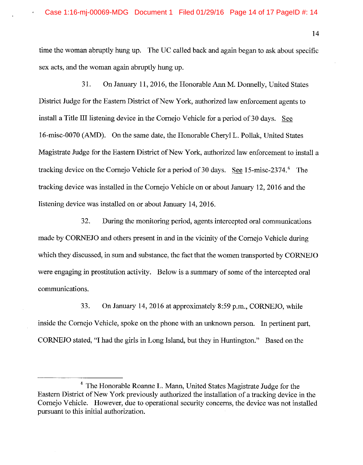$14$ 

time the woman abruptly hung up. The UC called back and again began to ask about specific sex acts, and the woman again abruptly hung up.

31. On January 11, 2016, the Honorable Ann M. Donnelly, United States District Judge for the Eastern District of New York, authorized law enforcement agents to install a Title III listening device in the Cornejo Vehicle for a period of 30 days. See 16-misc-0070 (AMD). On the same date, the Honorable Cheryl L. Pollak, United States Magistrate Judge for the Eastern District of New York, authorized law enforcement to install a tracking device on the Cornejo Vehicle for a period of 30 days. See 15-misc-2374.<sup>4</sup> The tracking device was installed in the Cornejo Vehicle on or about January 12, 2016 and the listening device was installed on or about January 14, 2016.

32. During the monitoring period, agents intercepted oral communications made by CORNEJO and others present in and in the vicinity of the Cornejo Vehicle during which they discussed, in sum and substance, the fact that the women transported by CORNEJO were engaging in prostitution activity. Below is a summary of some of the intercepted oral communications.

33. On January 14, 2016 at approximately 8:59 p.m., CORNEJO, while inside the Cornejo Vehicle, spoke on the phone with an unknown person. In pertinent part, CORNEJO stated, "I had the girls in Long Island, but they in Huntington." Based on the

<sup>&</sup>lt;sup>4</sup> The Honorable Roanne L. Mann, United States Magistrate Judge for the Eastern District of New York previously authorized the installation of a tracking device in the Cornejo Vehicle. However, due to operational security concerns, the device was not installed pursuant to this initial authorization.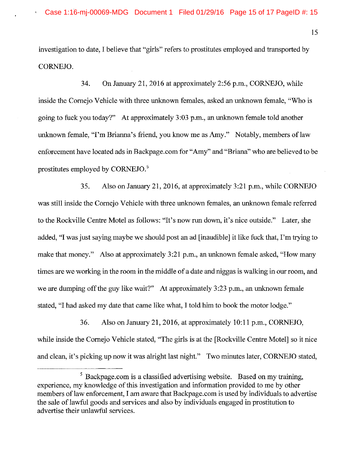investigation to date. I believe that "girls" refers to prostitutes employed and transported by CORNEJO.

34. On January 21, 2016 at approximately 2:56 p.m., CORNEJO, while inside the Cornejo Vehicle with three unknown females, asked an unknown female, "Who is going to fuck you today?" At approximately 3:03 p.m., an unknown female told another unknown female, "I'm Brianna's friend, you know me as Amy." Notably, members of law enforcement have located ads in Backpage.com for "Amy" and "Briana" who are believed to be prostitutes employed by CORNEJO.<sup>5</sup>

35. Also on January 21, 2016, at approximately 3:21 p.m., while CORNEJO was still inside the Corneio Vehicle with three unknown females, an unknown female referred to the Rockville Centre Motel as follows: "It's now run down, it's nice outside." Later, she added, "I was just saying maybe we should post an ad [inaudible] it like fuck that, I'm trying to make that money." Also at approximately 3:21 p.m., an unknown female asked, "How many" times are we working in the room in the middle of a date and niggas is walking in our room, and we are dumping off the guy like wait?" At approximately 3:23 p.m., an unknown female stated, "I had asked my date that came like what, I told him to book the motor lodge."

36. Also on January 21, 2016, at approximately 10:11 p.m., CORNEJO, while inside the Cornejo Vehicle stated, "The girls is at the [Rockville Centre Motel] so it nice and clean, it's picking up now it was alright last night." Two minutes later, CORNEJO stated,

 $5$  Backpage.com is a classified advertising website. Based on my training, experience, my knowledge of this investigation and information provided to me by other members of law enforcement. I am aware that Backpage.com is used by individuals to advertise the sale of lawful goods and services and also by individuals engaged in prostitution to advertise their unlawful services.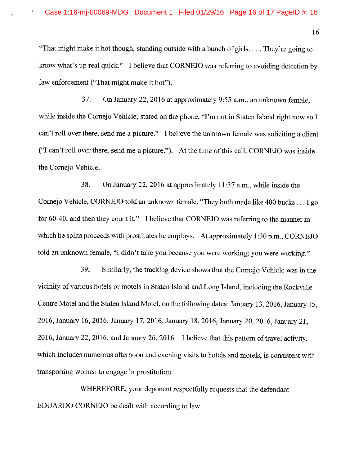"That might make it hot though, standing outside with a bunch of girls... They're going to know what's up real quick." I believe that CORNEJO was referring to avoiding detection by law enforcement ("That might make it hot").

37. On January 22, 2016 at approximately 9:55 a.m., an unknown female. while inside the Cornejo Vehicle, stated on the phone, "I'm not in Staten Island right now so I can't roll over there, send me a picture." I believe the unknown female was soliciting a client ("I can't roll over there, send me a picture."). At the time of this call, CORNEJO was inside the Cornejo Vehicle.

38. On January 22, 2016 at approximately 11:37 a.m., while inside the Cornejo Vehicle, CORNEJO told an unknown female, "They both made like 400 bucks . . . I go for 60-40, and then they count it." I believe that CORNEJO was referring to the manner in which he splits proceeds with prostitutes he employs. At approximately  $1:30$  p.m., CORNEJO told an unknown female, "I didn't take you because you were working; you were working."

39. Similarly, the tracking device shows that the Cornejo Vehicle was in the vicinity of various hotels or motels in Staten Island and Long Island, including the Rockville Centre Motel and the Staten Island Motel, on the following dates: January 13, 2016, January 15, 2016, January 16, 2016, January 17, 2016, January 18, 2016, January 20, 2016, January 21, 2016, January 22, 2016, and January 26, 2016. I believe that this pattern of travel activity, which includes numerous afternoon and evening visits to hotels and motels, is consistent with transporting women to engage in prostitution.

WHEREFORE, your deponent respectfully requests that the defendant EDUARDO CORNEJO be dealt with according to law.